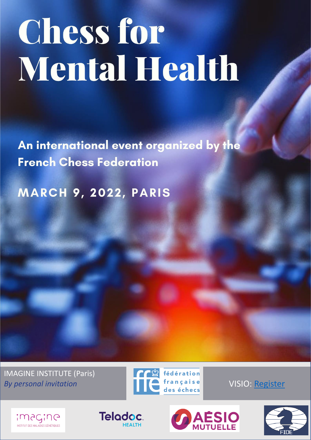## **Chess for Mental Health**

An international event organized by the **French Chess Federation** 

**MARCH 9, 2022, PARIS** 

IMAGINE INSTITUTE (Paris)